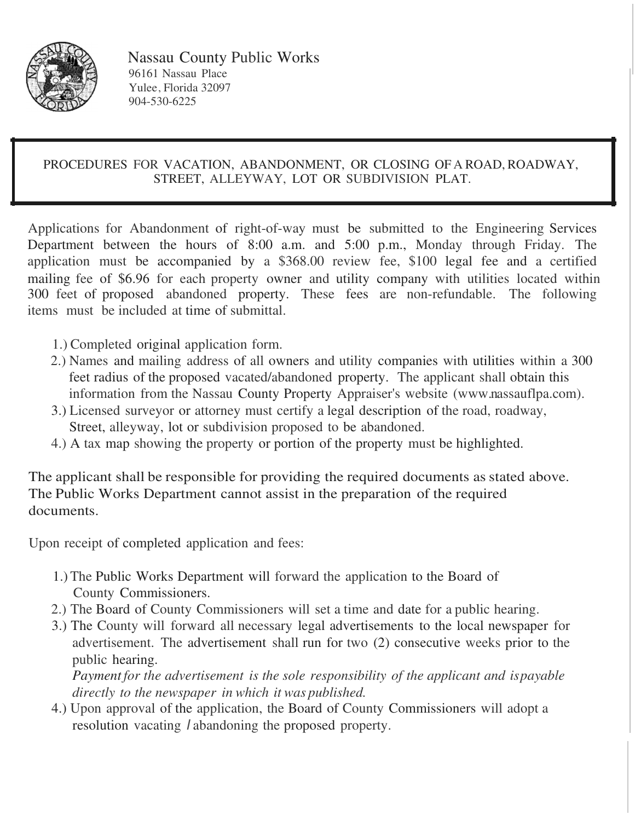

Nassau County Public Works 96161 Nassau Place Yulee, Florida 32097 904-530-6225

#### PROCEDURES FOR VACATION, ABANDONMENT, OR CLOSING OF A ROAD, ROADWAY, STREET, ALLEYWAY, LOT OR SUBDIVISION PLAT.

Applications for Abandonment of right-of-way must be submitted to the Engineering Services Department between the hours of 8:00 a.m. and 5:00 p.m., Monday through Friday. The application must be accompanied by a \$368.00 review fee, \$100 legal fee and a certified mailing fee of \$6.96 for each property owner and utility company with utilities located within 300 feet of proposed abandoned property. These fees are non-refundable. The following items must be included at time of submittal.

- 1.) Completed original application form.
- 2.) Names and mailing address of all owners and utility companies with utilities within a 300 feet radius of the proposed vacated/abandoned property. The applicant shall obtain this information from the Nassau County Property Appraiser's website (www.nassauflpa.com).
- 3.) Licensed surveyor or attorney must certify a legal description of the road, roadway, Street, alleyway, lot or subdivision proposed to be abandoned.
- 4.) A tax map showing the property or portion of the property must be highlighted.

The applicant shall be responsible for providing the required documents as stated above. The Public Works Department cannot assist in the preparation of the required documents.

Upon receipt of completed application and fees:

- 1.) The Public Works Department will forward the application to the Board of County Commissioners.
- 2.) The Board of County Commissioners will set a time and date for a public hearing.
- 3.) The County will forward all necessary legal advertisements to the local newspaper for advertisement. The advertisement shall run for two (2) consecutive weeks prior to the public hearing.

*Payment for the advertisement is the sole responsibility of the applicant and is payable directly to the newspaper in which it was published.*

4.) Upon approval of the application, the Board of County Commissioners will adopt a resolution vacating I abandoning the proposed property.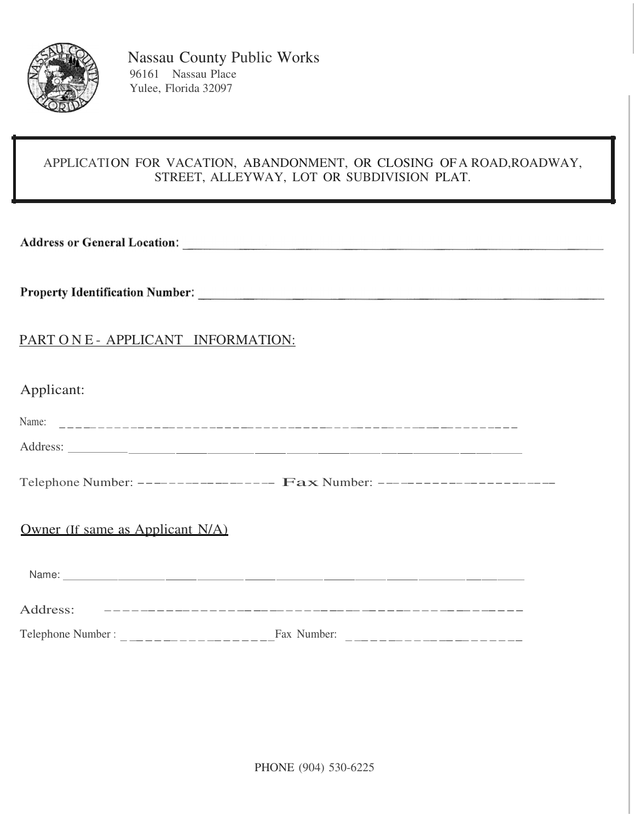

### APPLICATION FOR VACATION, ABANDONMENT, OR CLOSING OF A ROAD, ROADWAY, STREET, ALLEYWAY, LOT OR SUBDIVISION PLAT.

Address or General Location: Manual Address or General Location:

## PART O N E - APPLICANT INFORMATION:

| Applicant: |  |
|------------|--|

|                                     | Telephone Number: ----------------- Fax Number: -------------------- |
|-------------------------------------|----------------------------------------------------------------------|
| Owner (If same as Applicant $N/A$ ) |                                                                      |
|                                     |                                                                      |
|                                     |                                                                      |
|                                     |                                                                      |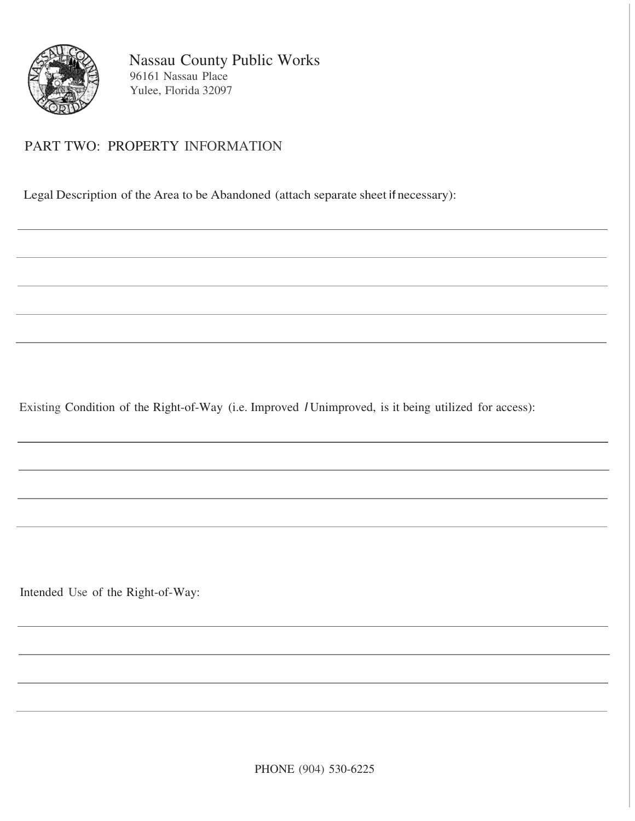

# PART TWO: PROPERTY INFORMATION

Legal Description of the Area to be Abandoned (attach separate sheet if necessary):

Existing Condition of the Right-of-Way (i.e. Improved I Unimproved, is it being utilized for access):

Intended Use of the Right-of-Way: